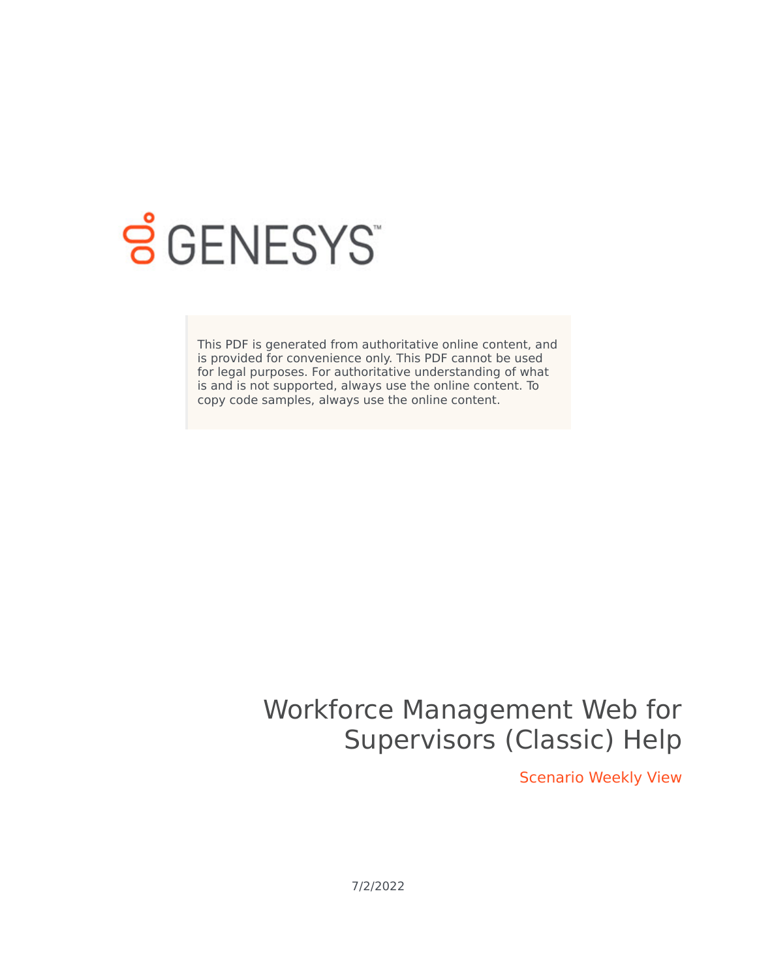

# **S** GENESYS

This PDF is generated from authoritative online content, and is provided for convenience only. This PDF cannot be used for legal purposes. For authoritative understanding of what is and is not supported, always use the online content. To copy code samples, always use the online content.

## Workforce Management Web for Supervisors (Classic) Help

Scenario Weekly View

7/2/2022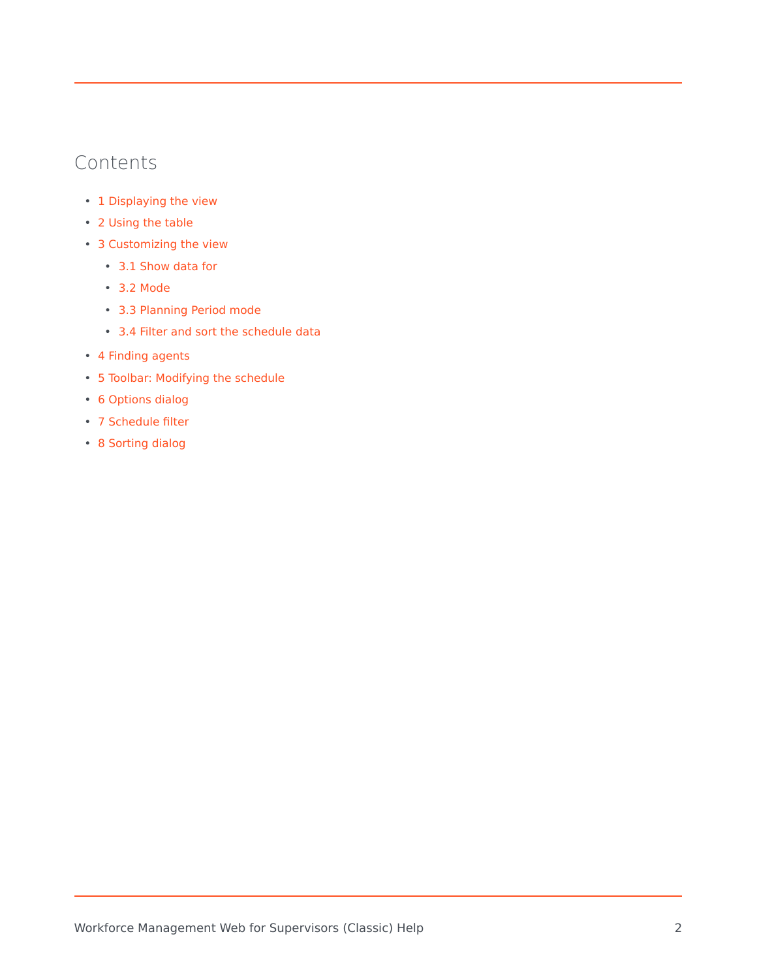## Contents

- 1 [Displaying the view](#page-2-0)
- 2 [Using the table](#page-3-0)
- 3 [Customizing the view](#page-4-0)
	- 3.1 [Show data for](#page-4-1)
	- 3.2 [Mode](#page-4-2)
	- 3.3 [Planning Period mode](#page-4-3)
	- 3.4 [Filter and sort the schedule data](#page-4-4)
- 4 [Finding agents](#page-5-0)
- 5 [Toolbar: Modifying the schedule](#page-5-1)
- 6 [Options dialog](#page-7-0)
- 7 [Schedule filter](#page-8-0)
- 8 [Sorting dialog](#page-8-1)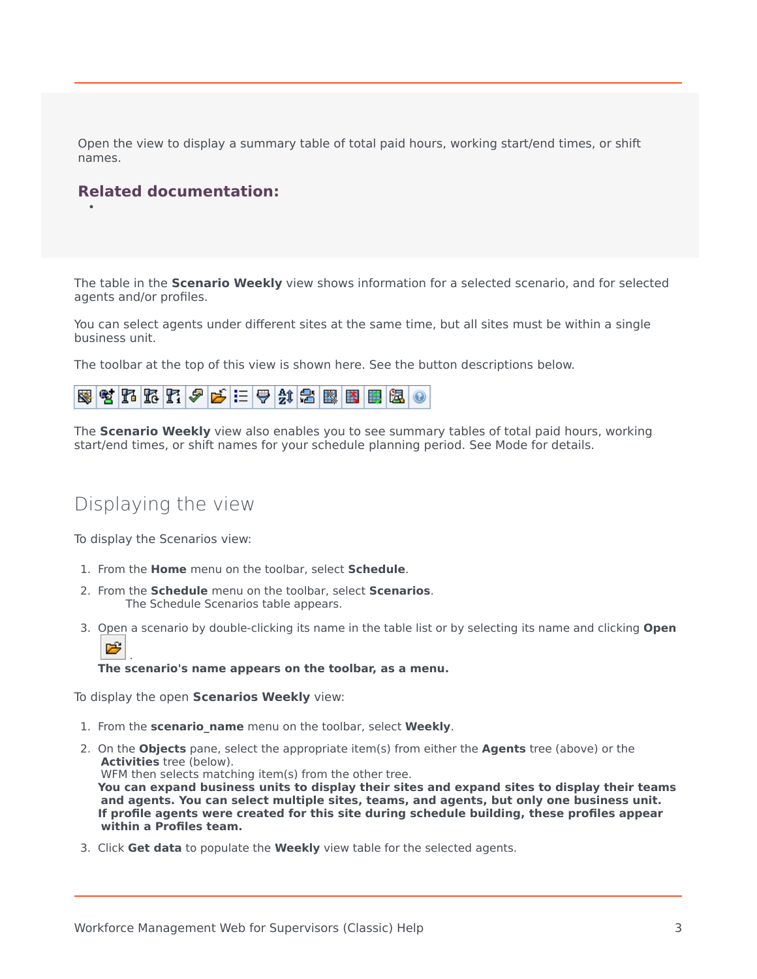Open the view to display a summary table of total paid hours, working start/end times, or shift names.

#### **Related documentation:**

•

The table in the **Scenario Weekly** view shows information for a selected scenario, and for selected agents and/or profiles.

You can select agents under different sites at the same time, but all sites must be within a single business unit.

The toolbar at the top of this view is shown here. See the button descriptions below.

|--|--|--|--|--|--|--|--|--|--|--|--|--|--|--|--|

The **Scenario Weekly** view also enables you to see summary tables of total paid hours, working start/end times, or shift names for your schedule planning period. See Mode for details.

## <span id="page-2-0"></span>Displaying the view

To display the Scenarios view:

- 1. From the **Home** menu on the toolbar, select **Schedule**.
- 2. From the **Schedule** menu on the toolbar, select **Scenarios**. The Schedule Scenarios table appears.
- 3. [Open](/File:WM_851_icon-open.png) a scenario by double-clicking its name in the table list or by selecting its name and clicking **Open** 哆 .

**The scenario's name appears on the toolbar, as a menu.**

To display the open **Scenarios Weekly** view:

- 1. From the **scenario\_name** menu on the toolbar, select **Weekly**.
- 2. On the **Objects** pane, select the appropriate item(s) from either the **Agents** tree (above) or the **Activities** tree (below). WFM then selects matching item(s) from the other tree. **You can expand business units to display their sites and expand sites to display their teams and agents. You can select multiple sites, teams, and agents, but only one business unit. If profile agents were created for this site during schedule building, these profiles appear within a Profiles team.**
- 3. Click **Get data** to populate the **Weekly** view table for the selected agents.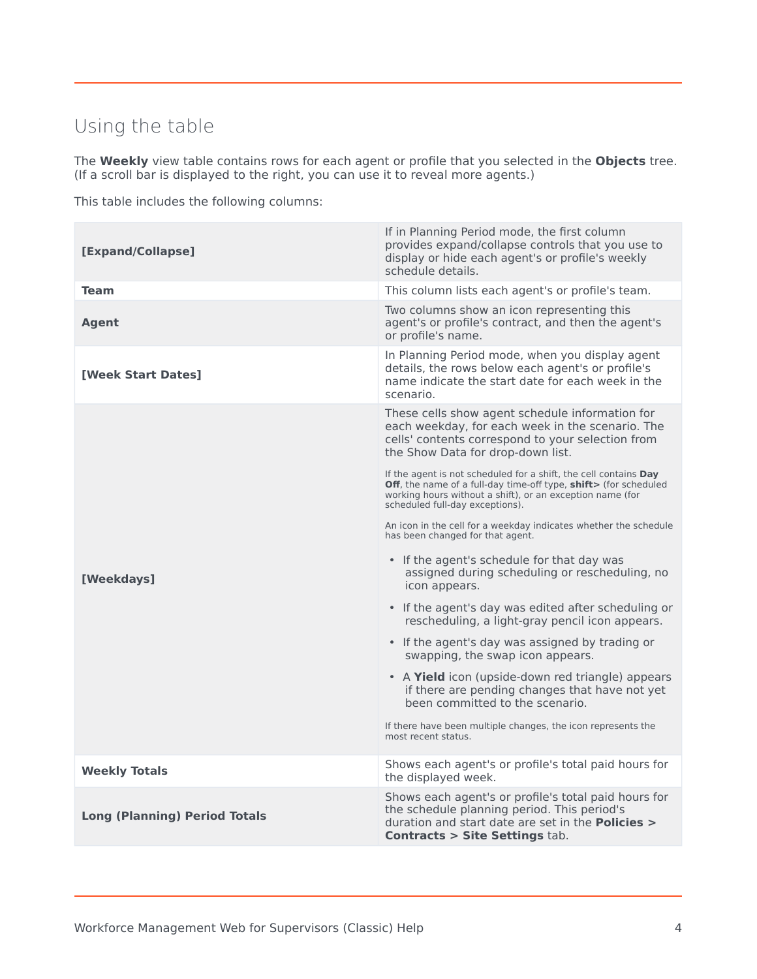## <span id="page-3-0"></span>Using the table

The **Weekly** view table contains rows for each agent or profile that you selected in the **Objects** tree. (If a scroll bar is displayed to the right, you can use it to reveal more agents.)

This table includes the following columns:

| [Expand/Collapse]                    | If in Planning Period mode, the first column<br>provides expand/collapse controls that you use to<br>display or hide each agent's or profile's weekly<br>schedule details.                                                                  |  |  |  |  |
|--------------------------------------|---------------------------------------------------------------------------------------------------------------------------------------------------------------------------------------------------------------------------------------------|--|--|--|--|
| <b>Team</b>                          | This column lists each agent's or profile's team.                                                                                                                                                                                           |  |  |  |  |
| Agent                                | Two columns show an icon representing this<br>agent's or profile's contract, and then the agent's<br>or profile's name.                                                                                                                     |  |  |  |  |
| [Week Start Dates]                   | In Planning Period mode, when you display agent<br>details, the rows below each agent's or profile's<br>name indicate the start date for each week in the<br>scenario.                                                                      |  |  |  |  |
|                                      | These cells show agent schedule information for<br>each weekday, for each week in the scenario. The<br>cells' contents correspond to your selection from<br>the Show Data for drop-down list.                                               |  |  |  |  |
|                                      | If the agent is not scheduled for a shift, the cell contains <b>Day</b><br>Off, the name of a full-day time-off type, shift> (for scheduled<br>working hours without a shift), or an exception name (for<br>scheduled full-day exceptions). |  |  |  |  |
|                                      | An icon in the cell for a weekday indicates whether the schedule<br>has been changed for that agent.                                                                                                                                        |  |  |  |  |
| [Weekdays]                           | • If the agent's schedule for that day was<br>assigned during scheduling or rescheduling, no<br>icon appears.                                                                                                                               |  |  |  |  |
|                                      | • If the agent's day was edited after scheduling or<br>rescheduling, a light-gray pencil icon appears.                                                                                                                                      |  |  |  |  |
|                                      | • If the agent's day was assigned by trading or<br>swapping, the swap icon appears.                                                                                                                                                         |  |  |  |  |
|                                      | • A Yield icon (upside-down red triangle) appears<br>if there are pending changes that have not yet<br>been committed to the scenario.                                                                                                      |  |  |  |  |
|                                      | If there have been multiple changes, the icon represents the<br>most recent status.                                                                                                                                                         |  |  |  |  |
| <b>Weekly Totals</b>                 | Shows each agent's or profile's total paid hours for<br>the displayed week.                                                                                                                                                                 |  |  |  |  |
| <b>Long (Planning) Period Totals</b> | Shows each agent's or profile's total paid hours for<br>the schedule planning period. This period's<br>duration and start date are set in the <b>Policies &gt;</b><br><b>Contracts &gt; Site Settings tab.</b>                              |  |  |  |  |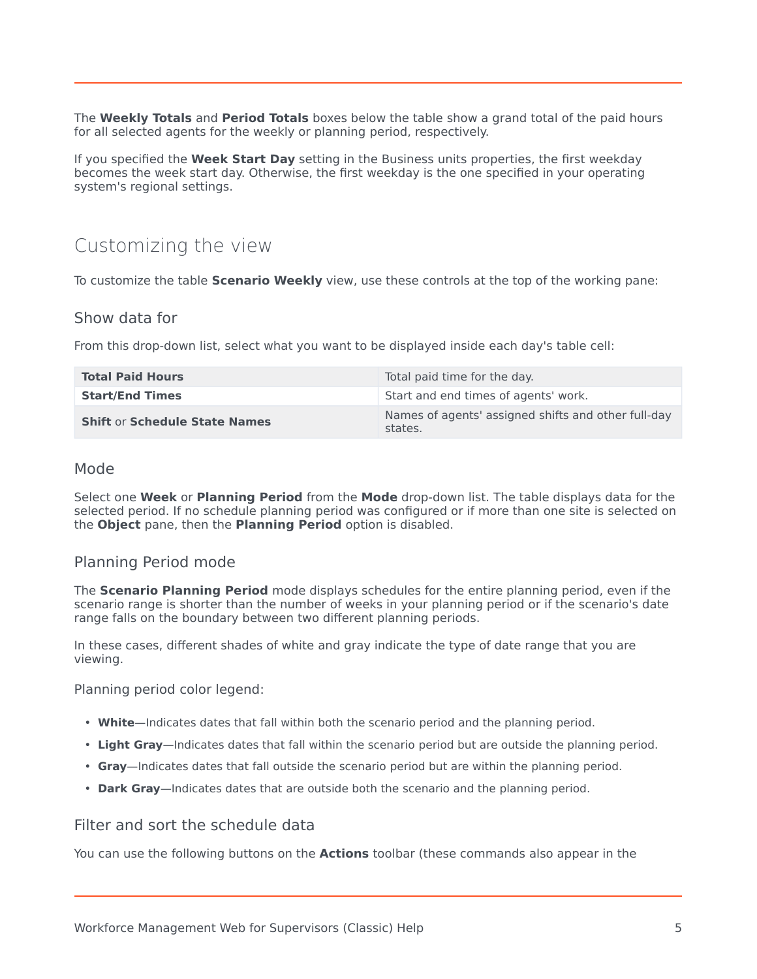The **Weekly Totals** and **Period Totals** boxes below the table show a grand total of the paid hours for all selected agents for the weekly or planning period, respectively.

If you specified the **Week Start Day** setting in the Business units properties, the first weekday becomes the week start day. Otherwise, the first weekday is the one specified in your operating system's regional settings.

## <span id="page-4-0"></span>Customizing the view

To customize the table **Scenario Weekly** view, use these controls at the top of the working pane:

#### <span id="page-4-1"></span>Show data for

From this drop-down list, select what you want to be displayed inside each day's table cell:

| <b>Total Paid Hours</b>              | Total paid time for the day.                                   |
|--------------------------------------|----------------------------------------------------------------|
| <b>Start/End Times</b>               | Start and end times of agents' work.                           |
| <b>Shift or Schedule State Names</b> | Names of agents' assigned shifts and other full-day<br>states. |

#### <span id="page-4-2"></span>Mode

Select one **Week** or **Planning Period** from the **Mode** drop-down list. The table displays data for the selected period. If no schedule planning period was configured or if more than one site is selected on the **Object** pane, then the **Planning Period** option is disabled.

#### <span id="page-4-3"></span>Planning Period mode

The **Scenario Planning Period** mode displays schedules for the entire planning period, even if the scenario range is shorter than the number of weeks in your planning period or if the scenario's date range falls on the boundary between two different planning periods.

In these cases, different shades of white and gray indicate the type of date range that you are viewing.

Planning period color legend:

- **White**—Indicates dates that fall within both the scenario period and the planning period.
- **Light Gray**—Indicates dates that fall within the scenario period but are outside the planning period.
- **Gray**—Indicates dates that fall outside the scenario period but are within the planning period.
- **Dark Gray**—Indicates dates that are outside both the scenario and the planning period.

#### <span id="page-4-4"></span>Filter and sort the schedule data

You can use the following buttons on the **Actions** toolbar (these commands also appear in the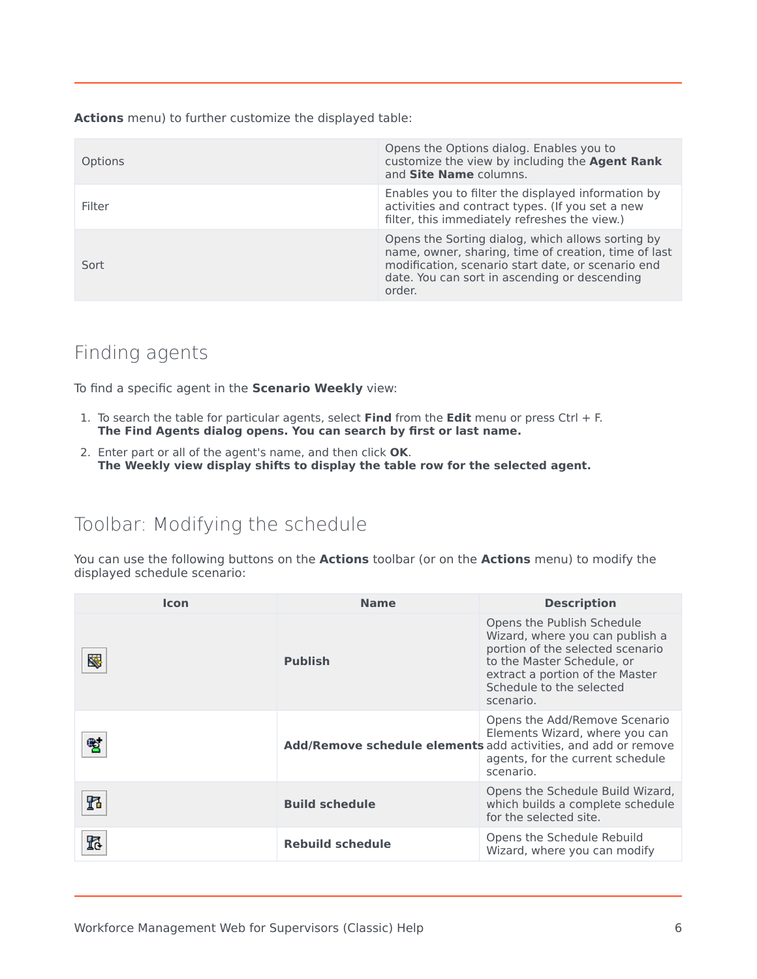**Actions** menu) to further customize the displayed table:

| Options | Opens the Options dialog. Enables you to<br>customize the view by including the Agent Rank<br>and Site Name columns.                                                                                                       |
|---------|----------------------------------------------------------------------------------------------------------------------------------------------------------------------------------------------------------------------------|
| Filter  | Enables you to filter the displayed information by<br>activities and contract types. (If you set a new<br>filter, this immediately refreshes the view.)                                                                    |
| Sort    | Opens the Sorting dialog, which allows sorting by<br>name, owner, sharing, time of creation, time of last<br>modification, scenario start date, or scenario end<br>date. You can sort in ascending or descending<br>order. |

## <span id="page-5-0"></span>Finding agents

To find a specific agent in the **Scenario Weekly** view:

- 1. To search the table for particular agents, select **Find** from the **Edit** menu or press Ctrl + F. **The Find Agents dialog opens. You can search by first or last name.**
- 2. Enter part or all of the agent's name, and then click **OK**. **The Weekly view display shifts to display the table row for the selected agent.**

## <span id="page-5-1"></span>Toolbar: Modifying the schedule

You can use the following buttons on the **Actions** toolbar (or on the **Actions** menu) to modify the displayed schedule scenario:

| <b>Icon</b> | <b>Name</b>             | <b>Description</b>                                                                                                                                                                                          |
|-------------|-------------------------|-------------------------------------------------------------------------------------------------------------------------------------------------------------------------------------------------------------|
| ⊗           | <b>Publish</b>          | Opens the Publish Schedule<br>Wizard, where you can publish a<br>portion of the selected scenario<br>to the Master Schedule, or<br>extract a portion of the Master<br>Schedule to the selected<br>scenario. |
| 嚸           |                         | Opens the Add/Remove Scenario<br>Elements Wizard, where you can<br>Add/Remove schedule elements add activities, and add or remove<br>agents, for the current schedule<br>scenario.                          |
| ħ           | <b>Build schedule</b>   | Opens the Schedule Build Wizard,<br>which builds a complete schedule<br>for the selected site.                                                                                                              |
| 瓺           | <b>Rebuild schedule</b> | Opens the Schedule Rebuild<br>Wizard, where you can modify                                                                                                                                                  |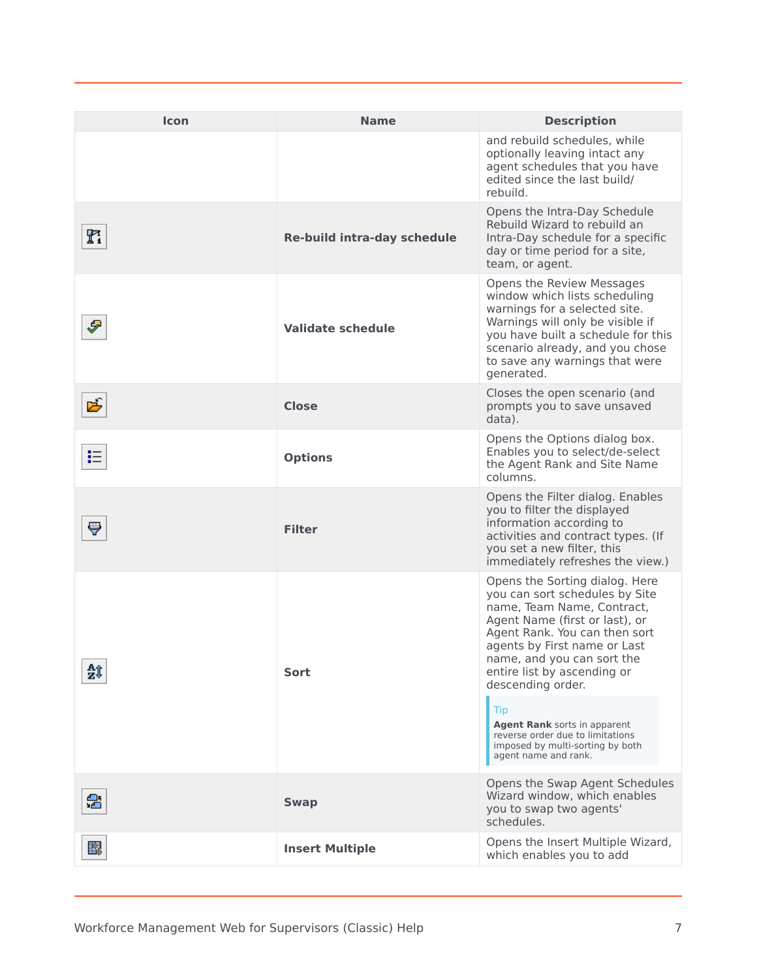| Icon | <b>Name</b>                 | <b>Description</b>                                                                                                                                                                                                                                                                  |
|------|-----------------------------|-------------------------------------------------------------------------------------------------------------------------------------------------------------------------------------------------------------------------------------------------------------------------------------|
|      |                             | and rebuild schedules, while<br>optionally leaving intact any<br>agent schedules that you have<br>edited since the last build/<br>rebuild.                                                                                                                                          |
| h    | Re-build intra-day schedule | Opens the Intra-Day Schedule<br>Rebuild Wizard to rebuild an<br>Intra-Day schedule for a specific<br>day or time period for a site,<br>team, or agent.                                                                                                                              |
| Ð    | <b>Validate schedule</b>    | Opens the Review Messages<br>window which lists scheduling<br>warnings for a selected site.<br>Warnings will only be visible if<br>you have built a schedule for this<br>scenario already, and you chose<br>to save any warnings that were<br>generated.                            |
| 丐    | Close                       | Closes the open scenario (and<br>prompts you to save unsaved<br>data).                                                                                                                                                                                                              |
| 挂    | <b>Options</b>              | Opens the Options dialog box.<br>Enables you to select/de-select<br>the Agent Rank and Site Name<br>columns.                                                                                                                                                                        |
| ç    | <b>Filter</b>               | Opens the Filter dialog. Enables<br>you to filter the displayed<br>information according to<br>activities and contract types. (If<br>you set a new filter, this<br>immediately refreshes the view.)                                                                                 |
| 鉞    | Sort                        | Opens the Sorting dialog. Here<br>you can sort schedules by Site<br>name, Team Name, Contract,<br>Agent Name (first or last), or<br>Agent Rank. You can then sort<br>agents by First name or Last<br>name, and you can sort the<br>entire list by ascending or<br>descending order. |
|      |                             | Tip<br>Agent Rank sorts in apparent<br>reverse order due to limitations<br>imposed by multi-sorting by both<br>agent name and rank.                                                                                                                                                 |
| 魯    | <b>Swap</b>                 | Opens the Swap Agent Schedules<br>Wizard window, which enables<br>you to swap two agents'<br>schedules.                                                                                                                                                                             |
| 醪    | <b>Insert Multiple</b>      | Opens the Insert Multiple Wizard,<br>which enables you to add                                                                                                                                                                                                                       |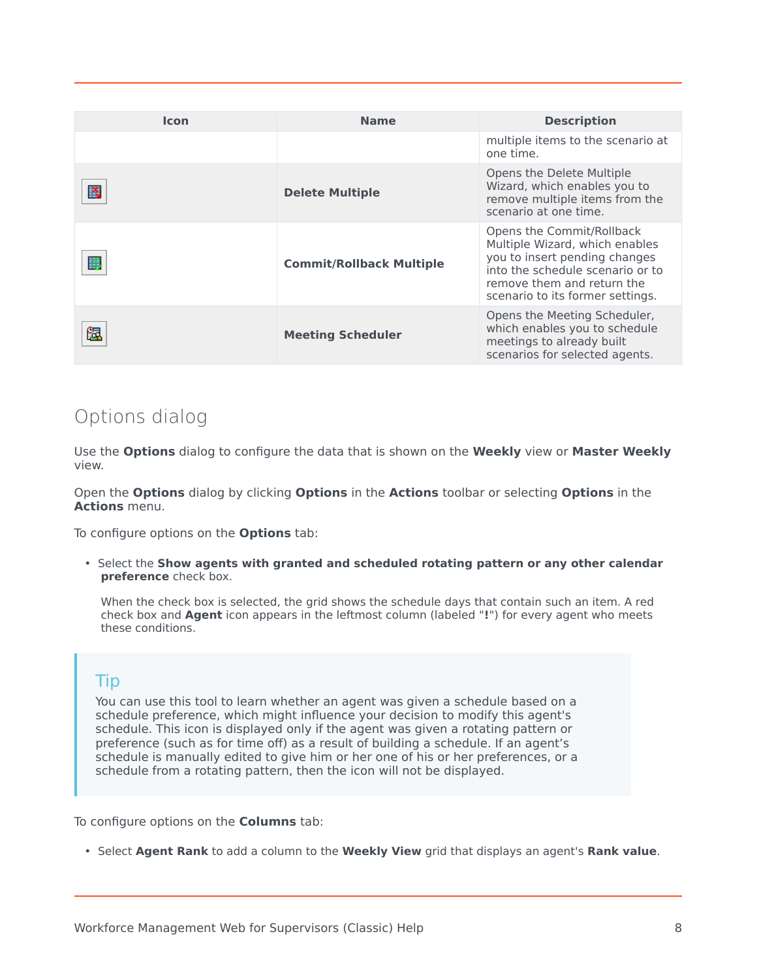| <b>Icon</b> | <b>Name</b>                     | <b>Description</b>                                                                                                                                                                                 |
|-------------|---------------------------------|----------------------------------------------------------------------------------------------------------------------------------------------------------------------------------------------------|
|             |                                 | multiple items to the scenario at<br>one time.                                                                                                                                                     |
| 談           | <b>Delete Multiple</b>          | Opens the Delete Multiple<br>Wizard, which enables you to<br>remove multiple items from the<br>scenario at one time.                                                                               |
| 璽           | <b>Commit/Rollback Multiple</b> | Opens the Commit/Rollback<br>Multiple Wizard, which enables<br>you to insert pending changes<br>into the schedule scenario or to<br>remove them and return the<br>scenario to its former settings. |
|             | <b>Meeting Scheduler</b>        | Opens the Meeting Scheduler,<br>which enables you to schedule<br>meetings to already built<br>scenarios for selected agents.                                                                       |

## <span id="page-7-0"></span>Options dialog

Use the **Options** dialog to configure the data that is shown on the **Weekly** view or **Master Weekly** view.

Open the **Options** dialog by clicking **Options** in the **Actions** toolbar or selecting **Options** in the **Actions** menu.

To configure options on the **Options** tab:

• Select the **Show agents with granted and scheduled rotating pattern or any other calendar preference** check box.

When the check box is selected, the grid shows the schedule days that contain such an item. A red check box and **Agent** icon appears in the leftmost column (labeled "**!**") for every agent who meets these conditions.

### Tip

You can use this tool to learn whether an agent was given a schedule based on a schedule preference, which might influence your decision to modify this agent's schedule. This icon is displayed only if the agent was given a rotating pattern or preference (such as for time off) as a result of building a schedule. If an agent's schedule is manually edited to give him or her one of his or her preferences, or a schedule from a rotating pattern, then the icon will not be displayed.

To configure options on the **Columns** tab:

• Select **Agent Rank** to add a column to the **Weekly View** grid that displays an agent's **Rank value**.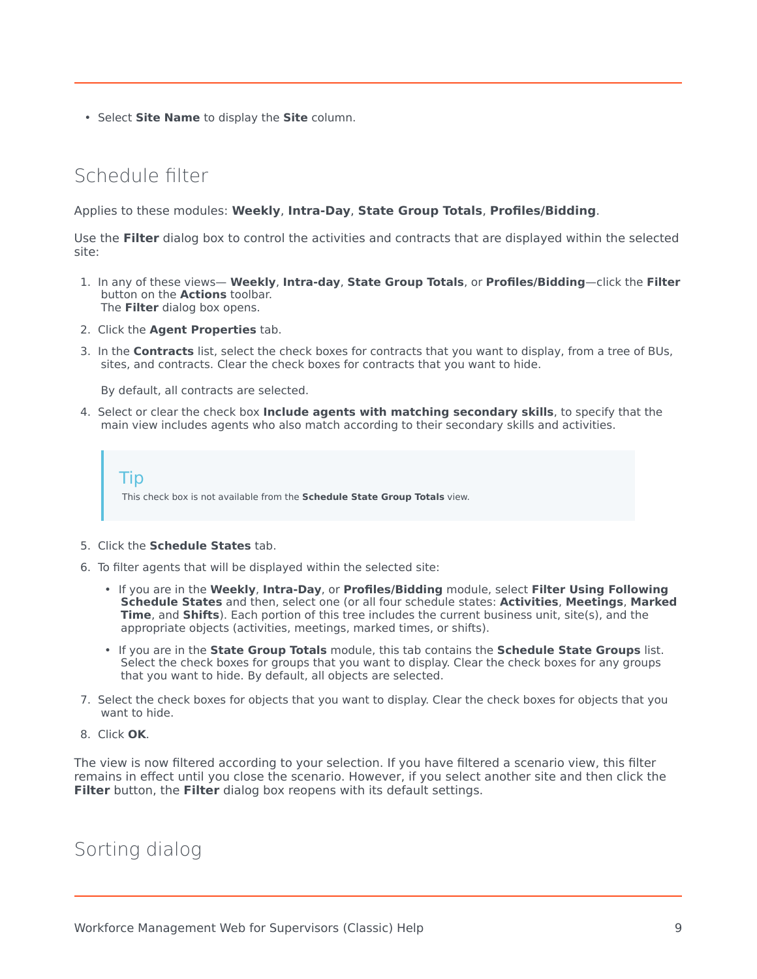• Select **Site Name** to display the **Site** column.

## <span id="page-8-0"></span>Schedule filter

Applies to these modules: **Weekly**, **Intra-Day**, **State Group Totals**, **Profiles/Bidding**.

Use the **Filter** dialog box to control the activities and contracts that are displayed within the selected site:

- 1. In any of these views— **Weekly**, **Intra-day**, **State Group Totals**, or **Profiles/Bidding**—click the **Filter** button on the **Actions** toolbar. The **Filter** dialog box opens.
- 2. Click the **Agent Properties** tab.
- 3. In the **Contracts** list, select the check boxes for contracts that you want to display, from a tree of BUs, sites, and contracts. Clear the check boxes for contracts that you want to hide.

By default, all contracts are selected.

4. Select or clear the check box **Include agents with matching secondary skills**, to specify that the main view includes agents who also match according to their secondary skills and activities.

Tip This check box is not available from the **Schedule State Group Totals** view.

- 5. Click the **Schedule States** tab.
- 6. To filter agents that will be displayed within the selected site:
	- If you are in the **Weekly**, **Intra-Day**, or **Profiles/Bidding** module, select **Filter Using Following Schedule States** and then, select one (or all four schedule states: **Activities**, **Meetings**, **Marked Time**, and **Shifts**). Each portion of this tree includes the current business unit, site(s), and the appropriate objects (activities, meetings, marked times, or shifts).
	- If you are in the **State Group Totals** module, this tab contains the **Schedule State Groups** list. Select the check boxes for groups that you want to display. Clear the check boxes for any groups that you want to hide. By default, all objects are selected.
- 7. Select the check boxes for objects that you want to display. Clear the check boxes for objects that you want to hide.
- 8. Click **OK**.

The view is now filtered according to your selection. If you have filtered a scenario view, this filter remains in effect until you close the scenario. However, if you select another site and then click the **Filter** button, the **Filter** dialog box reopens with its default settings.

<span id="page-8-1"></span>Sorting dialog